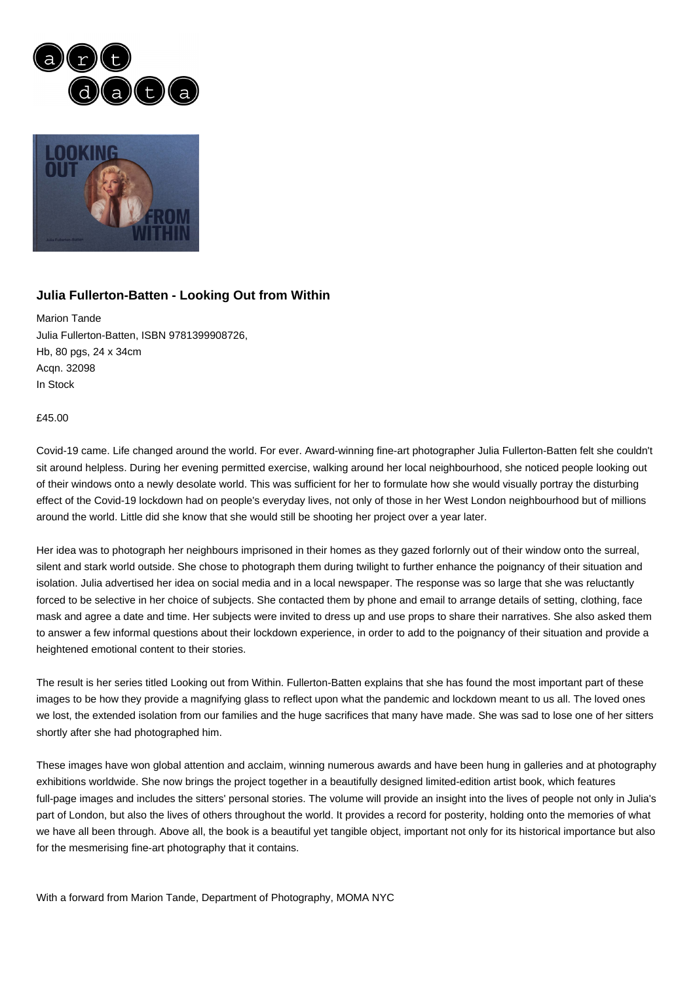



## **Julia Fullerton-Batten - Looking Out from Within**

Marion Tande Julia Fullerton-Batten, ISBN 9781399908726, Hb, 80 pgs, 24 x 34cm Acqn. 32098 In Stock

## £45.00

Covid-19 came. Life changed around the world. For ever. Award-winning fine-art photographer Julia Fullerton-Batten felt she couldn't sit around helpless. During her evening permitted exercise, walking around her local neighbourhood, she noticed people looking out of their windows onto a newly desolate world. This was sufficient for her to formulate how she would visually portray the disturbing effect of the Covid-19 lockdown had on people's everyday lives, not only of those in her West London neighbourhood but of millions around the world. Little did she know that she would still be shooting her project over a year later.

Her idea was to photograph her neighbours imprisoned in their homes as they gazed forlornly out of their window onto the surreal, silent and stark world outside. She chose to photograph them during twilight to further enhance the poignancy of their situation and isolation. Julia advertised her idea on social media and in a local newspaper. The response was so large that she was reluctantly forced to be selective in her choice of subjects. She contacted them by phone and email to arrange details of setting, clothing, face mask and agree a date and time. Her subjects were invited to dress up and use props to share their narratives. She also asked them to answer a few informal questions about their lockdown experience, in order to add to the poignancy of their situation and provide a heightened emotional content to their stories.

The result is her series titled Looking out from Within. Fullerton-Batten explains that she has found the most important part of these images to be how they provide a magnifying glass to reflect upon what the pandemic and lockdown meant to us all. The loved ones we lost, the extended isolation from our families and the huge sacrifices that many have made. She was sad to lose one of her sitters shortly after she had photographed him.

These images have won global attention and acclaim, winning numerous awards and have been hung in galleries and at photography exhibitions worldwide. She now brings the project together in a beautifully designed limited-edition artist book, which features full-page images and includes the sitters' personal stories. The volume will provide an insight into the lives of people not only in Julia's part of London, but also the lives of others throughout the world. It provides a record for posterity, holding onto the memories of what we have all been through. Above all, the book is a beautiful yet tangible object, important not only for its historical importance but also for the mesmerising fine-art photography that it contains.

With a forward from Marion Tande, Department of Photography, MOMA NYC